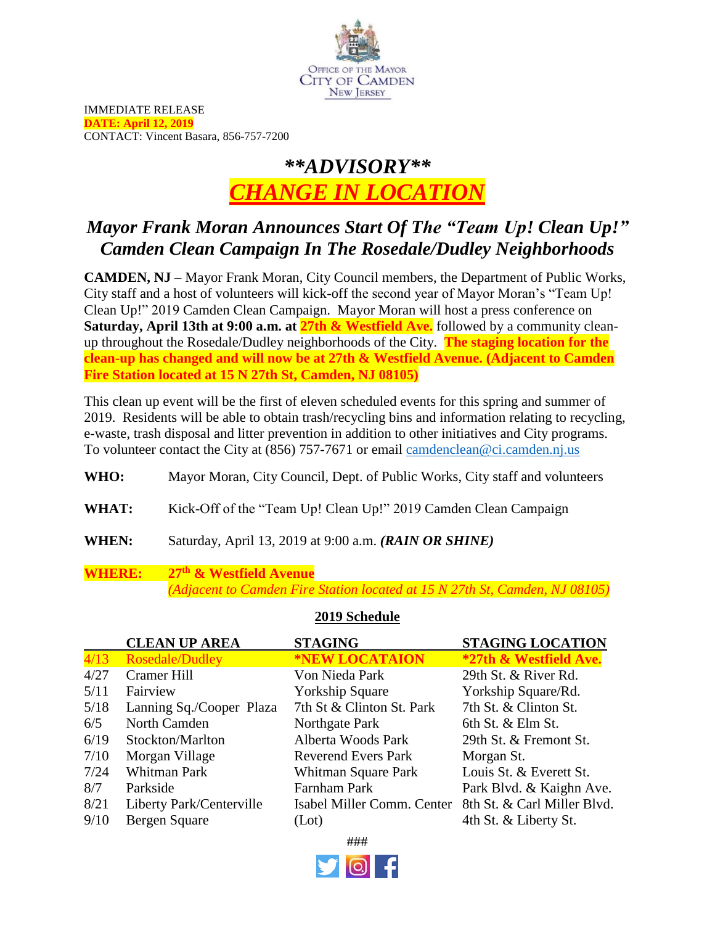

IMMEDIATE RELEASE **DATE: April 12, 2019** CONTACT: Vincent Basara, 856-757-7200

# *\*\*ADVISORY\*\* CHANGE IN LOCATION*

# *Mayor Frank Moran Announces Start Of The "Team Up! Clean Up!" Camden Clean Campaign In The Rosedale/Dudley Neighborhoods*

**CAMDEN, NJ** – Mayor Frank Moran, City Council members, the Department of Public Works, City staff and a host of volunteers will kick-off the second year of Mayor Moran's "Team Up! Clean Up!" 2019 Camden Clean Campaign. Mayor Moran will host a press conference on **Saturday, April 13th at 9:00 a.m. at 27th & Westfield Ave.** followed by a community cleanup throughout the Rosedale/Dudley neighborhoods of the City. **The staging location for the clean-up has changed and will now be at 27th & Westfield Avenue. (Adjacent to Camden Fire Station located at 15 N 27th St, Camden, NJ 08105)** 

This clean up event will be the first of eleven scheduled events for this spring and summer of 2019. Residents will be able to obtain trash/recycling bins and information relating to recycling, e-waste, trash disposal and litter prevention in addition to other initiatives and City programs. To volunteer contact the City at (856) 757-7671 or email [camdenclean@ci.camden.nj.us](mailto:camdenclean@ci.camden.nj.us)

**WHO:** Mayor Moran, City Council, Dept. of Public Works, City staff and volunteers

- **WHAT:** Kick-Off of the "Team Up! Clean Up!" 2019 Camden Clean Campaign
- **WHEN:** Saturday, April 13, 2019 at 9:00 a.m. *(RAIN OR SHINE)*

### **WHERE: 27th & Westfield Avenue** *(Adjacent to Camden Fire Station located at 15 N 27th St, Camden, NJ 08105)*

### **2019 Schedule**

|      | <b>CLEAN UP AREA</b>     | <b>STAGING</b>             | <b>STAGING LOCATION</b>     |
|------|--------------------------|----------------------------|-----------------------------|
| 4/13 | Rosedale/Dudley          | *NEW LOCATAION             | *27th & Westfield Ave.      |
| 4/27 | <b>Cramer Hill</b>       | Von Nieda Park             | 29th St. & River Rd.        |
| 5/11 | Fairview                 | <b>Yorkship Square</b>     | Yorkship Square/Rd.         |
| 5/18 | Lanning Sq./Cooper Plaza | 7th St & Clinton St. Park  | 7th St. & Clinton St.       |
| 6/5  | North Camden             | Northgate Park             | 6th St. & Elm St.           |
| 6/19 | Stockton/Marlton         | Alberta Woods Park         | 29th St. & Fremont St.      |
| 7/10 | Morgan Village           | <b>Reverend Evers Park</b> | Morgan St.                  |
| 7/24 | Whitman Park             | Whitman Square Park        | Louis St. & Everett St.     |
| 8/7  | Parkside                 | <b>Farnham Park</b>        | Park Blvd. & Kaighn Ave.    |
| 8/21 | Liberty Park/Centerville | Isabel Miller Comm. Center | 8th St. & Carl Miller Blvd. |
| 9/10 | Bergen Square            | (Lot)                      | 4th St. & Liberty St.       |